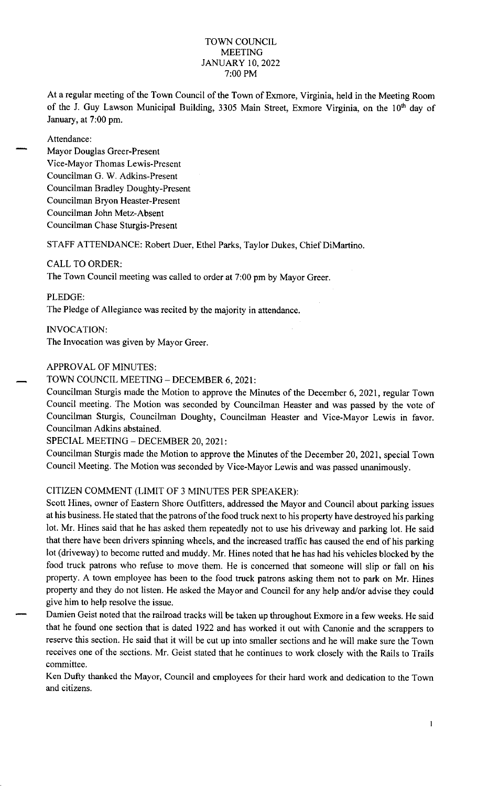#### TOWN COUNCIL MEETING JANUARY 10, 2022 7:00 PM

At a regular meeting of the Town Council of the Town of Exmore, Virginia, held in the Meeting Room of the J. Guy Lawson Municipal Building, 3305 Main Street, Exmore Virginia, on the 10<sup>th</sup> day of January, at 7:00 pm.

Attendance:

Mayor Douglas Greer-Present Vice-Mayor Thomas Lewis-Present Councilman G. W. Adkins-Present Councilman Bradley Doughty-Present Councilman Bryon Heaster-Present Councilman John Metz-Absent Councilman Chase Sturgis-Present

STAFF ATTENDANCE: Robert Duer, Ethel Parks, Taylor Dukes, Chief DiMartino.

## CALL TO ORDER:

The Town Council meeting was called to order at 7:00 pm by Mayor Greer.

PLEDGE:

The Pledge of Allegiance was recited by the majority in attendance.

INVOCATION:

The Invocation was given by Mayor Greer.

## APPROVAL OF MINUTES:

TOWN COUNCIL MEETING - DECEMBER 6, 2021:

Councilman Sturgis made the Motion to approve the Minutes of the December 6, 2021, regular Town Council meeting. The Motion was seconded by Councilman Heaster and was passed by the vote of Councilman Sturgis, Councilman Doughty, Councilman Heaster and Vice-Mayor Lewis in favor. Councilman Adkins abstained.

# SPECIAL MEETING - DECEMBER 20, 2021:

Councilman Sturgis made the Motion to approve the Minutes of the December 20, 2021, special Town Council Meeting. The Motion was seconded by Vice-Mayor Lewis and was passed unanimously.

# CITIZEN COMMENT (LIMIT OF 3 MINUTES PER SPEAKER):

Scott Hines, owner of Eastern Shore Outfitters, addressed the Mayor and Council about parking issues at his business. He stated that the patrons of the food truck next to his property have destroyed his parking lot. Mr. Hines said that he has asked them repeatedly not to use his driveway and parking lot. He said that there have been drivers spinning wheels, and the increased traffic has caused the end of his parking lot (driveway) to become rutted and muddy. Mr. Hines noted that he has had his vehicles blocked by the food truck patrons who refuse to move them. He is concerned that someone will slip or fall on his property. A town employee has been to the food truck patrons asking them not to park on Mr. Hines property and they do not listen. He asked the Mayor and Council for any help and/or advise they could give him to help resolve the issue.

Damien Geist noted that the railroad tracks will be taken up throughout Exmore in a few weeks. He said that he found one section that is dated 1922 and has worked it out with Canonie and the scrappers to reserve this section. He said that it will be cut up into smaller sections and he will make sure the Town receives one of the sections. Mr. Geist stated that he continues to work closely with the Rails to Trails committee.

Ken Dufty thanked the Mayor, Council and employees for their hard work and dedication to the Town and citizens.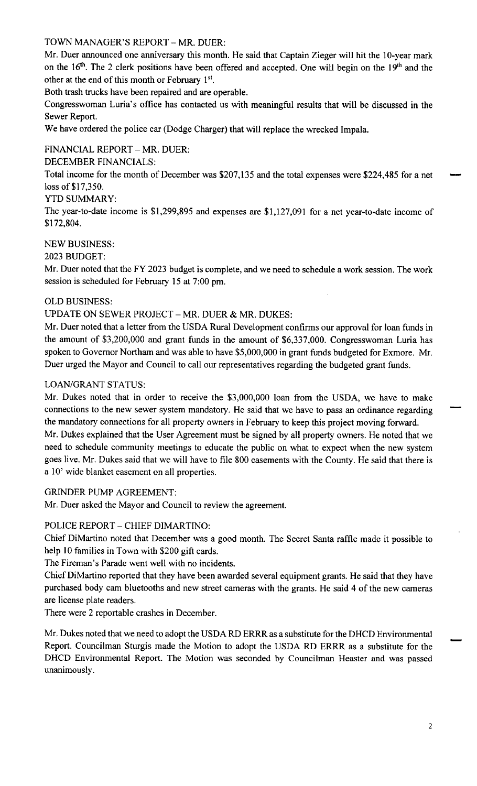TOWN MANAGER'S REPORT - MR. DUER:

Mr. Duer announced one anniversary this month. He said that Captain Zieger will hit the 10-year mark on the 16<sup>th</sup>. The 2 clerk positions have been offered and accepted. One will begin on the 19<sup>th</sup> and the other at the end of this month or February  $1<sup>st</sup>$ .

Both trash trucks have been repaired and are operable.

Congresswoman Luria's office has contacted us with meaningful results that will be discussed in the Sewer Report.

We have ordered the police car (Dodge Charger) that will replace the wrecked Impala.

# FINANCIAL REPORT - MR. DUER:

DECEMBER FINANCIALS:

Total income for the month of December was \$207,135 and the total expenses were \$224,485 for a net loss of \$17,350.

## YTD SUMMARY:

The year-to-date income is \$1,299,895 and expenses are \$1,127,091 for a net year-to-date income of \$172,804.

# NEW BUSINESS:

## 2023 BUDGET:

Mr. Duer noted that the FY 2023 budget is complete, and we need to schedule a work session. The work session is scheduled for February 15 at 7:00 pm.

## OLD BUSINESS:

## UPDATE ON SEWER PROJECT - MR. DUER & MR. DUKES:

Mr. Duer noted that a letter from the USDA Rural Development confirms our approval for loan funds in the amount of \$3,200,000 and grant funds in the amount of \$6,337,000. Congresswoman Luria has spoken to Governor Northam and was able to have \$5,000,000 in grant funds budgeted for Exmore. Mr. Duer urged the Mayor and Council to call our representatives regarding the budgeted grant funds.

#### LOAN/GRANT STATUS:

Mr. Dukes noted that in order to receive the \$3,000,000 loan from the USDA, we have to make connections to the new sewer system mandatory. He said that we have to pass an ordinance regarding the mandatory connections for all property owners in February to keep this project moving forward. Mr. Dukes explained that the User Agreement must be signed by all property owners. He noted that we need to schedule community meetings to educate the public on what to expect when the new system goes live. Mr. Dukes said that we will have to file 800 easements with the County. He said that there is a 10' wide blanket easement on all properties.

#### GRINDER PUMP AGREEMENT:

Mr. Duer asked the Mayor and Council to review the agreement.

# POLICE REPORT - CHIEF DIMARTINO:

Chief DiMartino noted that December was a good month. The Secret Santa raffle made it possible to help 10 families in Town with \$200 gift cards.

The Fireman's Parade went well with no incidents.

Chief DiMartino reported that they have been awarded several equipment grants. He said that they have purchased body cam bluetooths and new street cameras with the grants. He said 4 of the new cameras are license plate readers.

There were 2 reportable crashes in December.

Mr. Dukes noted that we need to adopt the USDA RD ERRR as a substitute for the DHCD Environmental Report. Councilman Sturgis made the Motion to adopt the USDA RD ERRR as a substitute for the DHCD Environmental Report. The Motion was seconded by Councilman Heaster and was passed unanimously.